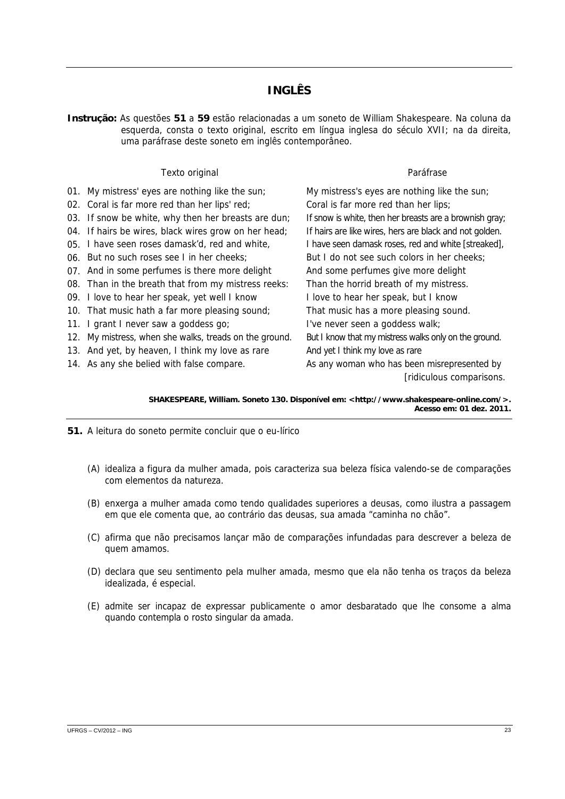## **INGLÊS**

**Instrução:** As questões **51** a **59** estão relacionadas a um soneto de William Shakespeare. Na coluna da esquerda, consta o texto original, escrito em língua inglesa do século XVII; na da direita, uma paráfrase deste soneto em inglês contemporâneo.

|     | Texto original                                       | Paráfrase                                               |
|-----|------------------------------------------------------|---------------------------------------------------------|
|     | 01. My mistress' eyes are nothing like the sun;      | My mistress's eyes are nothing like the sun;            |
|     | 02. Coral is far more red than her lips' red;        | Coral is far more red than her lips;                    |
|     | 03. If snow be white, why then her breasts are dun;  | If snow is white, then her breasts are a brownish gray; |
|     | 04. If hairs be wires, black wires grow on her head; | If hairs are like wires, hers are black and not golden. |
|     | 05. I have seen roses damask'd, red and white,       | I have seen damask roses, red and white [streaked],     |
|     | 06. But no such roses see I in her cheeks:           | But I do not see such colors in her cheeks;             |
|     | 07. And in some perfumes is there more delight       | And some perfumes give more delight                     |
|     | 08. Than in the breath that from my mistress reeks:  | Than the horrid breath of my mistress.                  |
|     | 09. I love to hear her speak, yet well I know        | I love to hear her speak, but I know                    |
|     | 10. That music hath a far more pleasing sound;       | That music has a more pleasing sound.                   |
| 11. | I grant I never saw a goddess go;                    | I've never seen a goddess walk;                         |
| 12. | My mistress, when she walks, treads on the ground.   | But I know that my mistress walks only on the ground.   |
|     | 13. And yet, by heaven, I think my love as rare      | And yet I think my love as rare                         |
|     | 14. As any she belied with false compare.            | As any woman who has been misrepresented by             |
|     |                                                      | [ridiculous comparisons.                                |

**SHAKESPEARE, William. Soneto 130. Disponível em: [<http://www.shakespeare-online.com/>](http://www.shakespeare-online.com/). Acesso em: 01 dez. 2011.** 

- **51.** A leitura do soneto permite concluir que o eu-lírico
	- (A) idealiza a figura da mulher amada, pois caracteriza sua beleza física valendo-se de comparações com elementos da natureza.
	- (B) enxerga a mulher amada como tendo qualidades superiores a deusas, como ilustra a passagem em que ele comenta que, ao contrário das deusas, sua amada "caminha no chão".
	- (C) afirma que não precisamos lançar mão de comparações infundadas para descrever a beleza de quem amamos.
	- (D) declara que seu sentimento pela mulher amada, mesmo que ela não tenha os traços da beleza idealizada, é especial.
	- (E) admite ser incapaz de expressar publicamente o amor desbaratado que lhe consome a alma quando contempla o rosto singular da amada.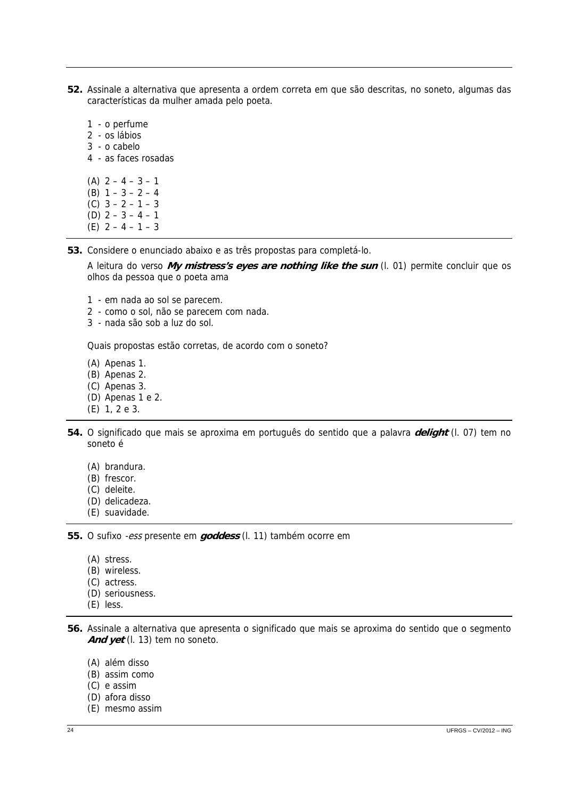- **52.** Assinale a alternativa que apresenta a ordem correta em que são descritas, no soneto, algumas das características da mulher amada pelo poeta.
	- 1 o perfume 2 - os lábios 3 - o cabelo 4 - as faces rosadas (A)  $2 - 4 - 3 - 1$ (B)  $1 - 3 - 2 - 4$ (C) 3 – 2 – 1 – 3 (D) 2 – 3 – 4 – 1
	- (E) 2 4 1 3
	-

**53.** Considere o enunciado abaixo e as três propostas para completá-lo.

A leitura do verso **My mistress's eyes are nothing like the sun** (l. 01) permite concluir que os olhos da pessoa que o poeta ama

- 1 em nada ao sol se parecem.
- 2 como o sol, não se parecem com nada.
- 3 nada são sob a luz do sol.

Quais propostas estão corretas, de acordo com o soneto?

- (A) Apenas 1.
- (B) Apenas 2.
- (C) Apenas 3.
- (D) Apenas 1 e 2.
- (E) 1, 2 e 3.
- **54.** O significado que mais se aproxima em português do sentido que a palavra **delight** (l. 07) tem no soneto é
	- (A) brandura.
	- (B) frescor.
	- (C) deleite.
	- (D) delicadeza.
	- (E) suavidade.

**55.** O sufixo -ess presente em **goddess** (l. 11) também ocorre em

- (A) stress.
- (B) wireless.
- (C) actress.
- (D) seriousness.
- (E) less.

**56.** Assinale a alternativa que apresenta o significado que mais se aproxima do sentido que o segmento And yet (l. 13) tem no soneto.

- (A) além disso
- (B) assim como
- (C) e assim
- (D) afora disso
- (E) mesmo assim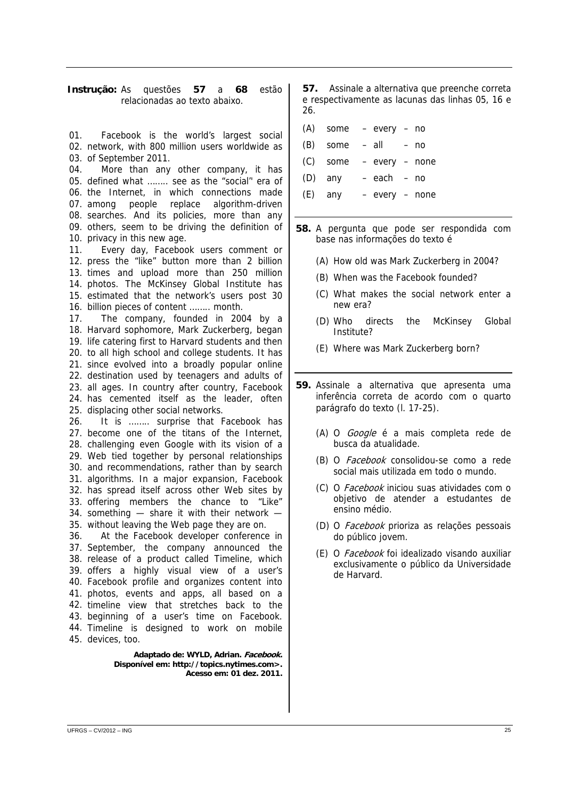## **Instrução:** As questões **57** a **68** estão relacionadas ao texto abaixo.

01. Facebook is the world's largest social (A) some – every – no 02. network, with 800 million users worldwide as 03. of September 2011. More than any other company, it has 05. defined what ........ see as the "social" era of 06. the Internet, in which connections made people replace algorithm-driven 08. searches. And its policies, more than any 09. others, seem to be driving the definition of 10. privacy in this new age. Every day, Facebook users comment or 12. press the "like" button more than 2 billion 13. times and upload more than 250 million 14. photos. The McKinsey Global Institute has 15. estimated that the network's users post 30 16. billion pieces of content ........ month. The company, founded in 2004 by a 18. Harvard sophomore, Mark Zuckerberg, began 19. life catering first to Harvard students and then 20. to all high school and college students. It has 21. since evolved into a broadly popular online 22. destination used by teenagers and adults of 23. all ages. In country after country, Facebook 24. has cemented itself as the leader, often 25. displacing other social networks. It is …….. surprise that Facebook has 27. become one of the titans of the Internet, 28. challenging even Google with its vision of a Web tied together by personal relationships 29. 30. and recommendations, rather than by search 31. algorithms. In a major expansion, Facebook 32. has spread itself across other Web sites by 33. offering members the chance to "Like" 34. something  $-$  share it with their network  $-$ 35. without leaving the Web page they are on. At the Facebook developer conference in 37. September, the company announced the 38. release of a product called Timeline, which 39. offers a highly visual view of a user's 40. Facebook profile and organizes content into photos, events and apps, all based on a 41. 42. timeline view that stretches back to the 43. beginning of a user's time on Facebook. 44. Timeline is designed to work on mobile 45. devices, too. **Adaptado de: WYLD, Adrian. Facebook.**  04. 07. 11. 17. 26. 36.

**Disponível em: http://topics.nytimes.com>. Acesso em: 01 dez. 2011.**  **57.** Assinale a alternativa que preenche correta e respectivamente as lacunas das linhas 05, 16 e 26.

- 
- $(B)$  some  $-$  all  $-$  no
- (C) some every none (D) any – each – no
- (E) any every none
- **58.** A pergunta que pode ser respondida com base nas informações do texto é
	- (A) How old was Mark Zuckerberg in 2004?
	- (B) When was the Facebook founded?
	- (C) What makes the social network enter a new era?
	- (D) Who directs the McKinsey Global Institute?
	- (E) Where was Mark Zuckerberg born?
- **59.** Assinale a alternativa que apresenta uma inferência correta de acordo com o quarto parágrafo do texto (l. 17-25).
	- (A) O Google é a mais completa rede de busca da atualidade.
	- (B) O Facebook consolidou-se como a rede social mais utilizada em todo o mundo.
	- (C) O Facebook iniciou suas atividades com o objetivo de atender a estudantes de ensino médio.
	- (D) O Facebook prioriza as relações pessoais do público jovem.
	- (E) O Facebook foi idealizado visando auxiliar exclusivamente o público da Universidade de Harvard.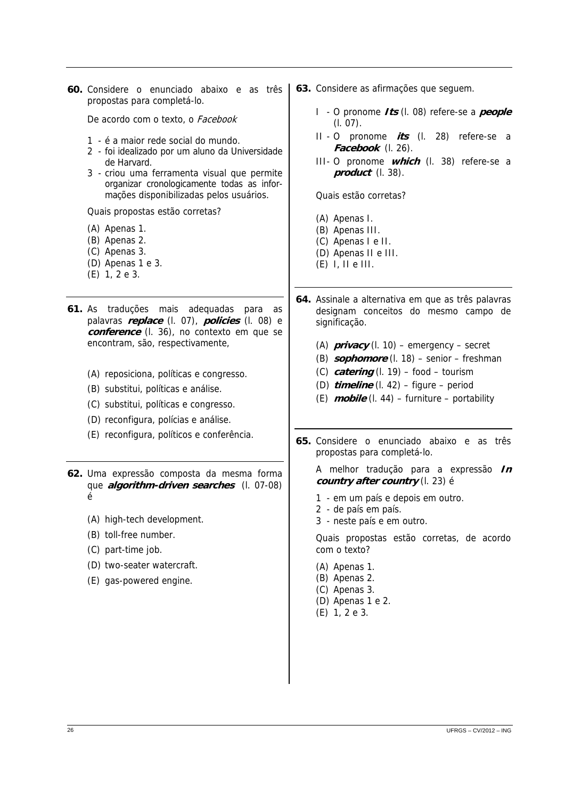**60.** Considere o enunciado abaixo e as três propostas para completá-lo.

De acordo com o texto, o Facebook

- 1 é a maior rede social do mundo.
- 2 foi idealizado por um aluno da Universidade de Harvard.
- 3 criou uma ferramenta visual que permite organizar cronologicamente todas as informações disponibilizadas pelos usuários.

Quais propostas estão corretas?

- (A) Apenas 1.
- (B) Apenas 2.
- (C) Apenas 3.
- (D) Apenas 1 e 3.
- (E) 1, 2 e 3.
- **61.** As traduções mais adequadas para as palavras **replace** (l. 07), **policies** (l. 08) e **conference** (l. 36), no contexto em que se encontram, são, respectivamente,
	- (A) reposiciona, políticas e congresso.
	- (B) substitui, políticas e análise.
	- (C) substitui, políticas e congresso.
	- (D) reconfigura, polícias e análise.
	- (E) reconfigura, políticos e conferência.

**62.** Uma expressão composta da mesma forma que **algorithm-driven searches** (l. 07-08) é

- (A) high-tech development.
- (B) toll-free number.
- (C) part-time job.
- (D) two-seater watercraft.
- (E) gas-powered engine.
- **63.** Considere as afirmações que seguem.
	- I O pronome **Its** (l. 08) refere-se a **people** (l. 07).
	- II O pronome **its** (l. 28) refere-se a **Facebook** (l. 26).
	- III O pronome **which** (l. 38) refere-se a **product** (l. 38).

Quais estão corretas?

- (A) Apenas I.
- (B) Apenas III.
- (C) Apenas I e II.
- (D) Apenas II e III.
- $(E)$  I, II e III.
- **64.** Assinale a alternativa em que as três palavras designam conceitos do mesmo campo de significação.
	- (A) **privacy** (l. 10) emergency secret
	- (B) **sophomore** (l. 18) senior freshman
	- (C) **catering** (l. 19) food tourism
	- (D) **timeline** (l. 42) figure period
	- (E) **mobile** (l. 44) furniture portability
- **65.** Considere o enunciado abaixo e as três propostas para completá-lo.

A melhor tradução para a expressão **In country after country** (l. 23) é

- 1 em um país e depois em outro.
- 2 de país em país.
- 3 neste país e em outro.

Quais propostas estão corretas, de acordo com o texto?

- (A) Apenas 1.
- (B) Apenas 2.
- (C) Apenas 3.
- (D) Apenas 1 e 2.
- (E) 1, 2 e 3.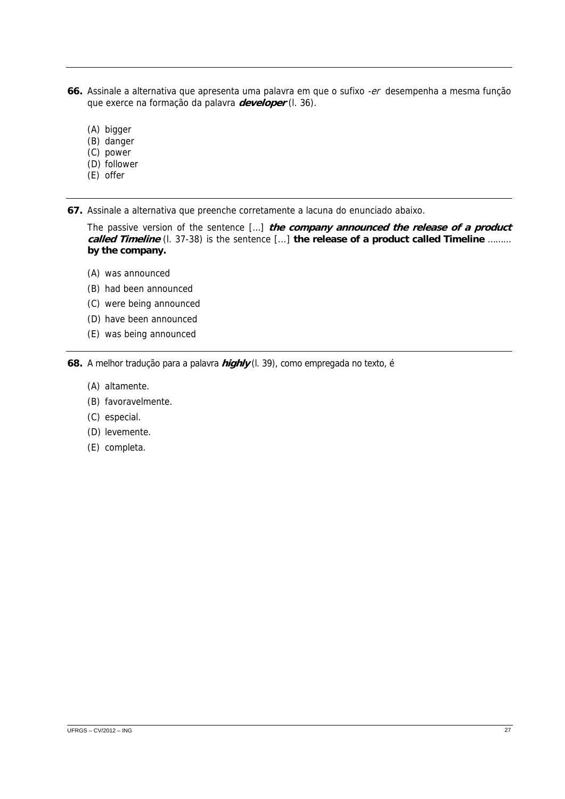- **66.** Assinale a alternativa que apresenta uma palavra em que o sufixo -er desempenha a mesma função que exerce na formação da palavra **developer** (l. 36).
	- (A) bigger
	- (B) danger
	- (C) power
	- (D) follower
	- (E) offer
- **67.** Assinale a alternativa que preenche corretamente a lacuna do enunciado abaixo.

The passive version of the sentence […] **the company announced the release of a product called Timeline** (l. 37-38) is the sentence [...] **the release of a product called Timeline** ……… **by the company.** 

- (A) was announced
- (B) had been announced
- (C) were being announced
- (D) have been announced
- (E) was being announced

**68.** A melhor tradução para a palavra **highly** (l. 39), como empregada no texto, é

- (A) altamente.
- (B) favoravelmente.
- (C) especial.
- (D) levemente.
- (E) completa.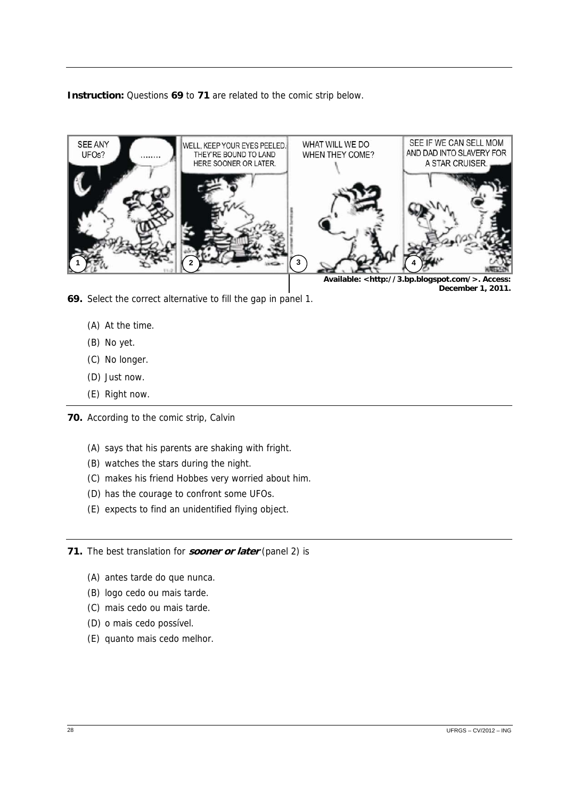**Instruction:** Questions **69** to **71** are related to the comic strip below.



**December 1, 2011.** 

- **69.** Select the correct alternative to fill the gap in panel 1.
	- (A) At the time.
	- (B) No yet.
	- (C) No longer.
	- (D) Just now.
	- (E) Right now.
- **70.** According to the comic strip, Calvin
	- (A) says that his parents are shaking with fright.
	- (B) watches the stars during the night.
	- (C) makes his friend Hobbes very worried about him.
	- (D) has the courage to confront some UFOs.
	- (E) expects to find an unidentified flying object.
- **71.** The best translation for **sooner or later** (panel 2) is
	- (A) antes tarde do que nunca.
	- (B) logo cedo ou mais tarde.
	- (C) mais cedo ou mais tarde.
	- (D) o mais cedo possível.
	- (E) quanto mais cedo melhor.